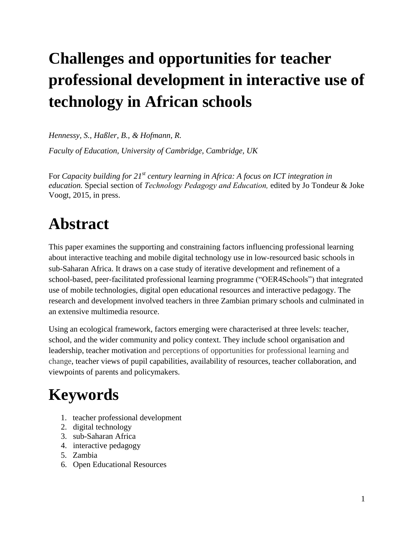# **Challenges and opportunities for teacher professional development in interactive use of technology in African schools**

*Hennessy, S., Haßler, B., & Hofmann, R.* 

*Faculty of Education, University of Cambridge, Cambridge, UK*

For *Capacity building for 21st century learning in Africa: A focus on ICT integration in education.* Special section of *Technology Pedagogy and Education,* edited by Jo Tondeur & Joke Voogt, 2015, in press.

# **Abstract**

This paper examines the supporting and constraining factors influencing professional learning about interactive teaching and mobile digital technology use in low-resourced basic schools in sub-Saharan Africa. It draws on a case study of iterative development and refinement of a school-based, peer-facilitated professional learning programme ("OER4Schools") that integrated use of mobile technologies, digital open educational resources and interactive pedagogy. The research and development involved teachers in three Zambian primary schools and culminated in an extensive multimedia resource.

Using an ecological framework, factors emerging were characterised at three levels: teacher, school, and the wider community and policy context. They include school organisation and leadership, teacher motivation and perceptions of opportunities for professional learning and change, teacher views of pupil capabilities, availability of resources, teacher collaboration, and viewpoints of parents and policymakers.

# **Keywords**

- 1. teacher professional development
- 2. digital technology
- 3. sub-Saharan Africa
- 4. interactive pedagogy
- 5. Zambia
- 6. Open Educational Resources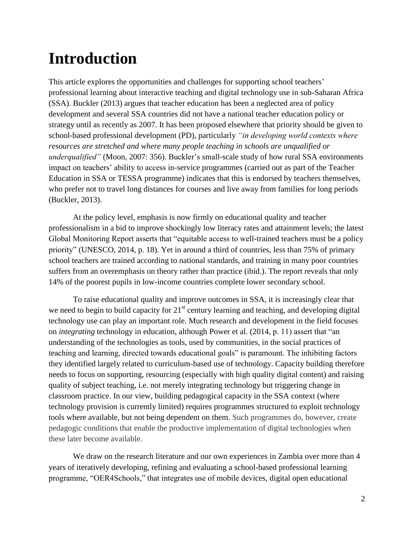# **Introduction**

This article explores the opportunities and challenges for supporting school teachers' professional learning about interactive teaching and digital technology use in sub-Saharan Africa (SSA). Buckler (2013) argues that teacher education has been a neglected area of policy development and several SSA countries did not have a national teacher education policy or strategy until as recently as 2007. It has been proposed elsewhere that priority should be given to school-based professional development (PD), particularly *"in developing world contexts where resources are stretched and where many people teaching in schools are unqualified or underqualified"* (Moon, 2007: 35[6\).](http://zotero.org/groups/261495/items/itemKey/7NADTD2I) Buckler's small-scale study of how rural SSA environments impact on teachers' ability to access in-service programmes (carried out as part of the Teacher Education in SSA or TESSA programme) indicates that this is endorsed by teachers themselves, who prefer not to travel long distances for courses and live away from families for long periods (Buckler, 2013).

At the policy level, emphasis is now firmly on educational quality and teacher professionalism in a bid to improve shockingly low literacy rates and attainment levels; the latest Global Monitoring Report asserts that "equitable access to well-trained teachers must be a policy priority" (UNESCO, 2014, p. 18). Yet in around a third of countries, less than 75% of primary school teachers are trained according to national standards, and training in many poor countries suffers from an overemphasis on theory rather than practice (ibid.). The report reveals that only 14% of the poorest pupils in low-income countries complete lower secondary school.

To raise educational quality and improve outcomes in SSA, it is increasingly clear that we need to begin to build capacity for  $21<sup>st</sup>$  century learning and teaching, and developing digital technology use can play an important role. Much research and development in the field focuses on *integrating* technology in education, although [Power et](http://oer1.educ.cam.ac.uk/zotero/select/1669433_BQNAW6PN?r=%7B%7C%20Power%2C%20et%20al.%2C%202014%20%3A1669433%7C%7C%7Czg%3A257089%3ABQNAW6PN%7D) [al.](http://oer1.educ.cam.ac.uk/zotero/select/1669433_BQNAW6PN?r=%7B%7C%20Power%2C%20et%20al.%2C%202014%20%3A1669433%7C%7C%7Czg%3A257089%3ABQNAW6PN%7D) [\(2014,](http://zotero.org/groups/257089/items/itemKey/BQNAW6PN) p. 11) assert that "an understanding of the technologies as tools, used by communities, in the social practices of teaching and learning, directed towards educational goals" is paramount. The inhibiting factors they identified largely related to curriculum-based use of technology. Capacity building therefore needs to focus on supporting, resourcing (especially with high quality digital content) and raising quality of subject teaching, i.e. not merely integrating technology but triggering change in classroom practice. In our view, building pedagogical capacity in the SSA context (where technology provision is currently limited) requires programmes structured to exploit technology tools where available, but not being dependent on them. Such programmes do, however, create pedagogic conditions that enable the productive implementation of digital technologies when these later become available.

We draw on the research literature and our own experiences in Zambia over more than 4 years of iteratively developing, refining and evaluating a school-based professional learning programme, "OER4Schools," that integrates use of mobile devices, digital open educational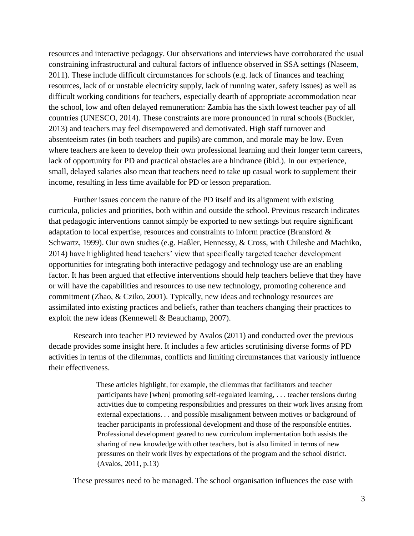resources and interactive pedagogy. Our observations and interviews have corroborated the usual constraining infrastructural and cultural factors of influence observed in SSA settings (Naseem, 2011). These include difficult circumstances for schools (e.g. lack of finances and teaching resources, lack of or unstable electricity supply, lack of running water, safety issues) as well as difficult working conditions for teachers, especially dearth of appropriate accommodation near the school, low and often delayed remuneration: Zambia has the sixth lowest teacher pay of all countries (UNESCO, 2014). These constraints are more pronounced in rural schools (Buckler, 2013) and teachers may feel disempowered and demotivated. High staff turnover and absenteeism rates (in both teachers and pupils) are common, and morale may be low. Even where teachers are keen to develop their own professional learning and their longer term careers, lack of opportunity for PD and practical obstacles are a hindrance (ibid.). In our experience, small, delayed salaries also mean that teachers need to take up casual work to supplement their income, resulting in less time available for PD or lesson preparation.

Further issues concern the nature of the PD itself and its alignment with existing curricula, policies and priorities, both within and outside the school. Previous research indicates that pedagogic interventions cannot simply be exported to new settings but require significant adaptation to local expertise, resources and constraints to inform practice (Bransford & Schwartz, 1999). Our own studies (e.g. Haßler, Hennessy, & Cross, with Chileshe and Machiko, 2014) have highlighted head teachers' view that specifically targeted teacher development opportunities for integrating both interactive pedagogy and technology use are an enabling factor. It has been argued that effective interventions should help teachers believe that they have or will have the capabilities and resources to use new technology, promoting coherence and commitment (Zhao, & Cziko, 2001). Typically, new ideas and technology resources are assimilated into existing practices and beliefs, rather than teachers changing their practices to exploit the new ideas (Kennewell & Beauchamp, 2007).

Research into teacher PD reviewed by Avalos (2011) and conducted over the previous decade provides some insight here. It includes a few articles scrutinising diverse forms of PD activities in terms of the dilemmas, conflicts and limiting circumstances that variously influence their effectiveness.

> These articles highlight, for example, the dilemmas that facilitators and teacher participants have [when] promoting self-regulated learning, . . . teacher tensions during activities due to competing responsibilities and pressures on their work lives arising from external expectations. . . and possible misalignment between motives or background of teacher participants in professional development and those of the responsible entities. Professional development geared to new curriculum implementation both assists the sharing of new knowledge with other teachers, but is also limited in terms of new pressures on their work lives by expectations of the program and the school district. (Avalos, 2011, p.13)

These pressures need to be managed. The school organisation influences the ease with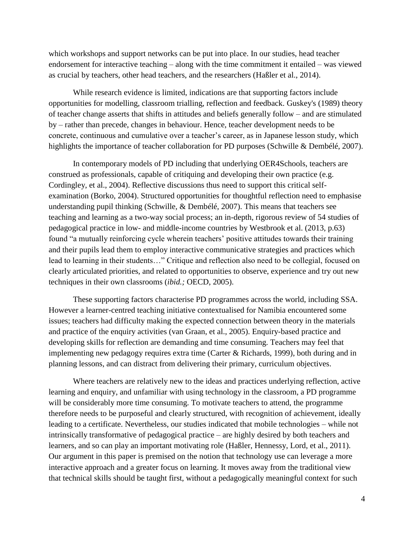which workshops and support networks can be put into place. In our studies, head teacher endorsement for interactive teaching – along with the time commitment it entailed – was viewed as crucial by teachers, other head teachers, and the researchers (Haßler et al., 2014).

While research evidence is limited, indications are that supporting factors include opportunities for modelling, classroom trialling, reflection and feedback. [Guskey's](http://oer.educ.cam.ac.uk/zotero/select/1700609_CQWVNQZU?r=%7B%7C%20Guskey%2C%201989%20%3A1700609%7C%7C%7Czg%3A261495%3ACQWVNQZU%7D) (1989) theory of teacher change asserts that shifts in attitudes and beliefs generally follow – and are stimulated by – rather than precede, changes in behaviour. Hence, teacher development needs to be concrete, continuous and cumulative over a teacher's career, as in Japanese lesson study, which highlights the importance of teacher collaboration for PD purposes (Schwille & Dembélé, 2007).

In contemporary models of PD including that underlying OER4Schools, teachers are construed as professionals, capable of critiquing and developing their own practice (e.g. Cordingley, et al., 200[4\). R](http://zotero.org/groups/261495/items/itemKey/W3HB9MTG)eflective discussions thus need to support this critical selfexamination (Borko, 2004). Structured opportunities for thoughtful reflection need to emphasise understanding pupil thinking (Schwille, & Dembélé, 2007). This means that teachers see teaching and learning as a two-way social process; an in-depth, rigorous review of 54 studies of pedagogical practice in low- and middle-income countries by Westbrook et al. (2013, p.63) found "a mutually reinforcing cycle wherein teachers' positive attitudes towards their training and their pupils lead them to employ interactive communicative strategies and practices which lead to learning in their students…" Critique and reflection also need to be collegial, focused on clearly articulated priorities, and related to opportunities to observe, experience and try out new techniques in their own classrooms (*ibid.;* OECD, 2005).

These supporting factors characterise PD programmes across the world, including SSA. However a learner-centred teaching initiative contextualised for Namibia encountered some issues; teachers had difficulty making the expected connection between theory in the materials and practice of the enquiry activities (van Graan, et al., 2005). Enquiry-based practice and developing skills for reflection are demanding and time consuming. Teachers may feel that implementing new pedagogy requires extra time (Carter & Richards, 1999), both during and in planning lessons, and can distract from delivering their primary, curriculum objectives.

Where teachers are relatively new to the ideas and practices underlying reflection, active learning and enquiry, and unfamiliar with using technology in the classroom, a PD programme will be considerably more time consuming. To motivate teachers to attend, the programme therefore needs to be purposeful and clearly structured, with recognition of achievement, ideally leading to a certificate. Nevertheless, our studies indicated that mobile technologies – while not intrinsically transformative of pedagogical practice – are highly desired by both teachers and learners, and so can play an important motivating role (Haßler, Hennessy, Lord, et al., 2011). Our argument in this paper is premised on the notion that technology use can leverage a more interactive approach and a greater focus on learning. It moves away from the traditional view that technical skills should be taught first, without a pedagogically meaningful context for such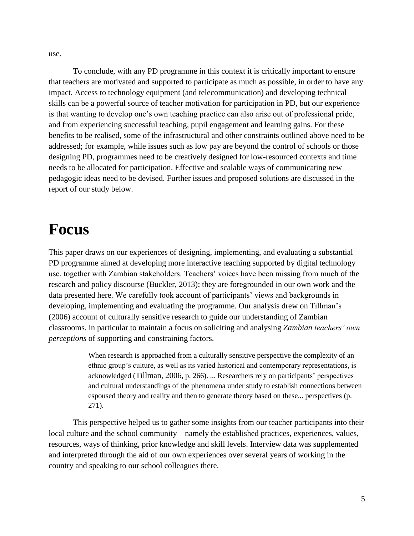use.

To conclude, with any PD programme in this context it is critically important to ensure that teachers are motivated and supported to participate as much as possible, in order to have any impact. Access to technology equipment (and telecommunication) and developing technical skills can be a powerful source of teacher motivation for participation in PD, but our experience is that wanting to develop one's own teaching practice can also arise out of professional pride, and from experiencing successful teaching, pupil engagement and learning gains. For these benefits to be realised, some of the infrastructural and other constraints outlined above need to be addressed; for example, while issues such as low pay are beyond the control of schools or those designing PD, programmes need to be creatively designed for low-resourced contexts and time needs to be allocated for participation. Effective and scalable ways of communicating new pedagogic ideas need to be devised. Further issues and proposed solutions are discussed in the report of our study below.

## **Focus**

This paper draws on our experiences of designing, implementing, and evaluating a substantial PD programme aimed at developing more interactive teaching supported by digital technology use, together with Zambian stakeholders. Teachers' voices have been missing from much of the research and policy discourse (Buckler, 2013); they are foregrounded in our own work and the data presented here. We carefully took account of participants' views and backgrounds in developing, implementing and evaluating the programme. Our analysis drew on Tillman's (2006) account of culturally sensitive research to guide our understanding of Zambian classrooms, in particular to maintain a focus on soliciting and analysing *Zambian teachers' own perceptions* of supporting and constraining factors.

> When research is approached from a culturally sensitive perspective the complexity of an ethnic group's culture, as well as its varied historical and contemporary representations, is acknowledged (Tillman, 2006, p. 266). ... Researchers rely on participants' perspectives and cultural understandings of the phenomena under study to establish connections between espoused theory and reality and then to generate theory based on these... perspectives (p. 271).

This perspective helped us to gather some insights from our teacher participants into their local culture and the school community – namely the established practices, experiences, values, resources, ways of thinking, prior knowledge and skill levels. Interview data was supplemented and interpreted through the aid of our own experiences over several years of working in the country and speaking to our school colleagues there.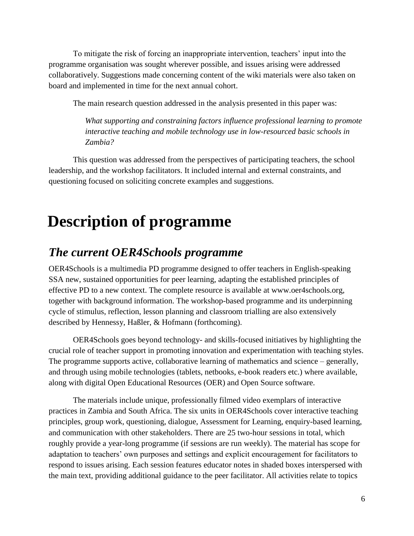To mitigate the risk of forcing an inappropriate intervention, teachers' input into the programme organisation was sought wherever possible, and issues arising were addressed collaboratively. Suggestions made concerning content of the wiki materials were also taken on board and implemented in time for the next annual cohort.

The main research question addressed in the analysis presented in this paper was:

*What supporting and constraining factors influence professional learning to promote interactive teaching and mobile technology use in low-resourced basic schools in Zambia?* 

This question was addressed from the perspectives of participating teachers, the school leadership, and the workshop facilitators. It included internal and external constraints, and questioning focused on soliciting concrete examples and suggestions.

# **Description of programme**

### *The current OER4Schools programme*

OER4Schools is a multimedia PD programme designed to offer teachers in English-speaking SSA new, sustained opportunities for peer learning, adapting the established principles of effective PD to a new context. The complete resource is available at www.oer4schools.org, together with background information. The workshop-based programme and its underpinning cycle of stimulus, reflection, lesson planning and classroom trialling are also extensively described by Hennessy, Haßler, & Hofmann (forthcoming).

OER4Schools goes beyond technology- and skills-focused initiatives by highlighting the crucial role of teacher support in promoting innovation and experimentation with teaching styles. The programme supports active, collaborative learning of mathematics and science – generally, and through using mobile technologies (tablets, netbooks, e-book readers etc.) where available, along with digital Open Educational Resources (OER) and Open Source software.

The materials include unique, professionally filmed video exemplars of interactive practices in Zambia and South Africa. The six units in OER4Schools cover interactive teaching principles, group work, questioning, dialogue, Assessment for Learning, enquiry-based learning, and communication with other stakeholders. There are 25 two-hour sessions in total, which roughly provide a year-long programme (if sessions are run weekly). The material has scope for adaptation to teachers' own purposes and settings and explicit encouragement for facilitators to respond to issues arising. Each session features educator notes in shaded boxes interspersed with the main text, providing additional guidance to the peer facilitator. All activities relate to topics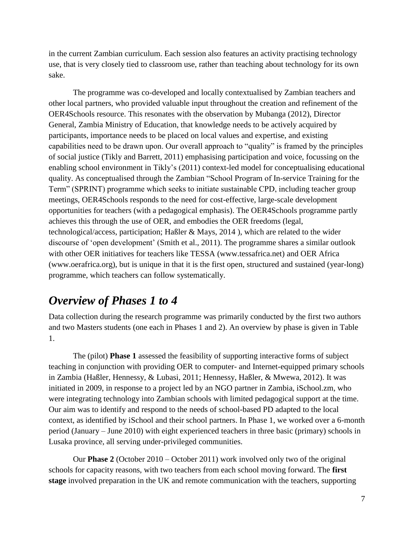in the current Zambian curriculum. Each session also features an activity practising technology use, that is very closely tied to classroom use, rather than teaching about technology for its own sake.

The programme was co-developed and locally contextualised by Zambian teachers and other local partners, who provided valuable input throughout the creation and refinement of the OER4Schools resource. This resonates with the observation by [Mubanga \(2012\)](http://oer.educ.cam.ac.uk/zotero/select/1700609_Q5AN7HX8?r=%7B%7C%20Mubanga,%202012%20:1700609%7C%7C%7Czg:261495:Q5AN7HX8%7D), Director General, Zambia Ministry of Education, that knowledge needs to be actively acquired by participants, importance needs to be placed on local values and expertise, and existing capabilities need to be drawn upon. Our overall approach to "quality" is framed by the principles of social justice [\(Tikly and Barrett,](http://oer1.educ.cam.ac.uk/zotero/select/1700609_C5UDA8ZQ?r=%7B%7C%20Tikly%2C%20%26%20Barrett%2C%202011%20%3A1700609%7C%7C%7Czg%3A261495%3AC5UDA8ZQ%7D) [2011\) emph](http://zotero.org/groups/261495/items/itemKey/2VGUH4CA)[asising pa](http://zotero.org/groups/261495/items/itemKey/C5UDA8ZQ)rticipation and voice, focussing on the enabling school environment in [Tikly's \(2011\)](http://oer1.educ.cam.ac.uk/zotero/select/1700609_G9F4947W?r=%7B%7C%20Tikly%2C%202011%20%3A1700609%7C%7C%7Czg%3A261495%3AG9F4947W%7D) [c](http://zotero.org/groups/261495/items/itemKey/G9F4947W)ontext-led model for conceptualising educational quality. As conceptualised throu[gh the Zambian](http://oer.educ.cam.ac.uk/zotero/select/1700609_2VGUH4CA?r=%7B%7CSmith,%20et%20al.,%202011:1700609%7C%7C%7Czg:261495:2VGUH4CA%7D) "School Program of In-service Training for the Term" (SPRINT) programme which seeks to initiate sustainable CPD, including teacher group meetings, OER4Schools responds to the need for cost-effective, large-scale development opportunities for teachers (with a pedagogical emphasis). The OER4Schools programme partly achieves this through the use of OER, and embodies the [OER freedoms](http://oer.educ.cam.ac.uk/zotero/select/1700609_2VGUH4CA?r=%7B%7CSmith,%20et%20al.,%202011:1700609%7C%7C%7Czg:261495:2VGUH4CA%7D) (legal, technological/access, participation; Haßler & Mays, 2014 ), which are related to the wider discourse of 'open development' [\(Smith et](http://oer.educ.cam.ac.uk/zotero/select/1700609_2VGUH4CA?r=%7B%7CSmith,%20et%20al.,%202011:1700609%7C%7C%7Czg:261495:2VGUH4CA%7D) [al., 2011\)](http://oer.educ.cam.ac.uk/zotero/select/1700609_2VGUH4CA?r=%7B%7CSmith,%20et%20al.,%202011:1700609%7C%7C%7Czg:261495:2VGUH4CA%7D). The programme shares a similar outlook with other OER initiatives for teachers like TESSA (www.tessafrica.net) and OER Africa [\(www.oerafrica.org\)](http://www.google.com/url?q=http%3A%2F%2Fwww.oerafrica.org%2F&sa=D&sntz=1&usg=AFQjCNHHwKv3IHKk5pf84EXZx1g2hbmnGQ), but is unique in that it is the first open, structured and sustained (year-long) programme, which teachers can follow systematically.

### *Overview of Phases 1 to 4*

Data collection during the research programme was primarily conducted by the first two authors and two Masters students (one each in Phases 1 and 2). An overview by phase is given in Table 1.

The (pilot) **Phase 1** assessed the feasibility of supporting interactive forms of subject teaching in conjunction with providing OER to computer- and Internet-equipped primary schools in Zambia (Haßler, Hennessy, & Lubasi, 2011; Hennessy, Haßler, & Mwewa, 2012). It was initiated in 2009, in response to a project led by an NGO partner in Zambia, iSchool.zm, who were integrating technology into Zambian schools with limited pedagogical support at the time. Our aim was to identify and respond to the needs of school-based PD adapted to the local context, as identified by iSchool and their school partners. In Phase 1, we worked over a 6-month period (January – June 2010) with eight experienced teachers in three basic (primary) schools in Lusaka province, all serving under-privileged communities.

Our **Phase 2** (October 2010 – October 2011) work involved only two of the original schools for capacity reasons, with two teachers from each school moving forward. The **first stage** involved preparation in the UK and remote communication with the teachers, supporting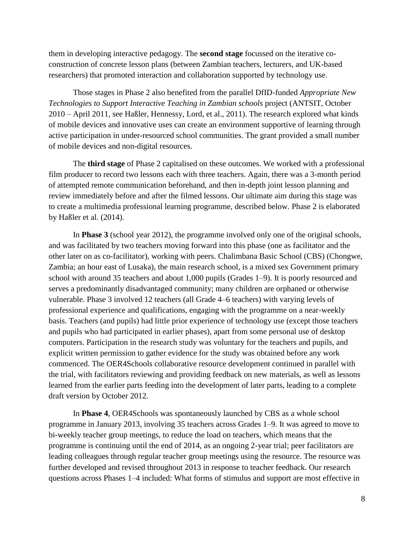them in developing interactive pedagogy. The **second stage** focussed on the iterative coconstruction of concrete lesson plans (between Zambian teachers, lecturers, and UK-based researchers) that promoted interaction and collaboration supported by technology use.

Those stages in Phase 2 also benefited from the parallel DfID-funded *Appropriate New Technologies to Support Interactive Teaching in Zambian schools* project (ANTSIT, October 2010 – April 2011, see Haßler, Hennessy, Lord, et al., 2011). The research explored what kinds of mobile devices and innovative uses can create an environment supportive of learning through active participation in under-resourced school communities. The grant provided a small number of mobile devices and non-digital resources.

The **third stage** of Phase 2 capitalised on these outcomes. We worked with a professional film producer to record two lessons each with three teachers. Again, there was a 3-month period of attempted remote communication beforehand, and then in-depth joint lesson planning and review immediately before and after the filmed lessons. Our ultimate aim during this stage was to create a multimedia professional learning programme, described below. Phase 2 is elaborated by Haßler et al. (2014).

In **Phase 3** (school year 2012), the programme involved only one of the original schools, and was facilitated by two teachers moving forward into this phase (one as facilitator and the other later on as co-facilitator), working with peers. Chalimbana Basic School (CBS) (Chongwe, Zambia; an hour east of Lusaka), the main research school, is a mixed sex Government primary school with around 35 teachers and about 1,000 pupils (Grades 1–9). It is poorly resourced and serves a predominantly disadvantaged community; many children are orphaned or otherwise vulnerable. Phase 3 involved 12 teachers (all Grade 4–6 teachers) with varying levels of professional experience and qualifications, engaging with the programme on a near-weekly basis. Teachers (and pupils) had little prior experience of technology use (except those teachers and pupils who had participated in earlier phases), apart from some personal use of desktop computers. Participation in the research study was voluntary for the teachers and pupils, and explicit written permission to gather evidence for the study was obtained before any work commenced. The OER4Schools collaborative resource development continued in parallel with the trial, with facilitators reviewing and providing feedback on new materials, as well as lessons learned from the earlier parts feeding into the development of later parts, leading to a complete draft version by October 2012.

In **Phase 4**, OER4Schools was spontaneously launched by CBS as a whole school programme in January 2013, involving 35 teachers across Grades 1–9. It was agreed to move to bi-weekly teacher group meetings, to reduce the load on teachers, which means that the programme is continuing until the end of 2014, as an ongoing 2-year trial; peer facilitators are leading colleagues through regular teacher group meetings using the resource. The resource was further developed and revised throughout 2013 in response to teacher feedback. Our research questions across Phases 1–4 included: What forms of stimulus and support are most effective in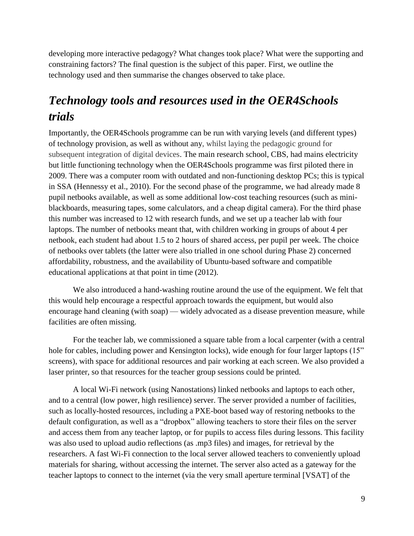developing more interactive pedagogy? What changes took place? What were the supporting and constraining factors? The final question is the subject of this paper. First, we outline the technology used and then summarise the changes observed to take place.

## *Technology tools and resources used in the OER4Schools trials*

Importantly, the OER4Schools programme can be run with varying levels (and different types) of technology provision, as well as without any, whilst laying the pedagogic ground for subsequent integration of digital devices. The main research school, CBS, had mains electricity but little functioning technology when the OER4Schools programme was first piloted there in 2009. There was a computer room with outdated and non-functioning desktop PCs; this is typical in SSA (Hennessy et al., 2010). For the second phase of the programme, we had already made 8 pupil netbooks available, as well as some additional low-cost teaching resources (such as miniblackboards, measuring tapes, some calculators, and a cheap digital camera). For the third phase this number was increased to 12 with research funds, and we set up a teacher lab with four laptops. The number of netbooks meant that, with children working in groups of about 4 per netbook, each student had about 1.5 to 2 hours of shared access, per pupil per week. The choice of netbooks over tablets (the latter were also trialled in one school during Phase 2) concerned affordability, robustness, and the availability of Ubuntu-based software and compatible educational applications at that point in time (2012).

We also introduced a hand-washing routine around the use of the equipment. We felt that this would help encourage a respectful approach towards the equipment, but would also encourage hand cleaning (with soap) — widely advocated as a disease prevention measure, while facilities are often missing.

For the teacher lab, we commissioned a square table from a local carpenter (with a central hole for cables, including power and Kensington locks), wide enough for four larger laptops (15" screens), with space for additional resources and pair working at each screen. We also provided a laser printer, so that resources for the teacher group sessions could be printed.

A local Wi-Fi network (using Nanostations) linked netbooks and laptops to each other, and to a central (low power, high resilience) server. The server provided a number of facilities, such as locally-hosted resources, including a PXE-boot based way of restoring netbooks to the default configuration, as well as a "dropbox" allowing teachers to store their files on the server and access them from any teacher laptop, or for pupils to access files during lessons. This facility was also used to upload audio reflections (as .mp3 files) and images, for retrieval by the researchers. A fast Wi-Fi connection to the local server allowed teachers to conveniently upload materials for sharing, without accessing the internet. The server also acted as a gateway for the teacher laptops to connect to the internet (via the very small aperture terminal [VSAT] of the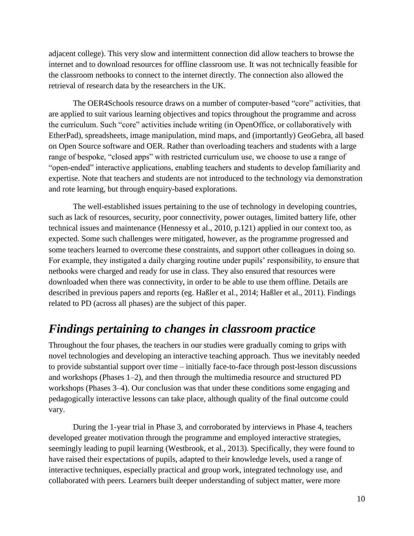adjacent college). This very slow and intermittent connection did allow teachers to browse the internet and to download resources for offline classroom use. It was not technically feasible for the classroom netbooks to connect to the internet directly. The connection also allowed the retrieval of research data by the researchers in the UK.

The OER4Schools resource draws on a number of computer-based "core" activities, that are applied to suit various learning objectives and topics throughout the programme and across the curriculum. Such "core" activities include writing (in OpenOffice, or collaboratively with EtherPad), spreadsheets, image manipulation, mind maps, and (importantly) GeoGebra, all based on Open Source software and OER. Rather than overloading teachers and students with a large range of bespoke, "closed apps" with restricted curriculum use, we choose to use a range of "open-ended" interactive applications, enabling teachers and students to develop familiarity and expertise. Note that teachers and students are not introduced to the technology via demonstration and rote learning, but through enquiry-based explorations.

The well-established issues pertaining to the use of technology in developing countries, such as lack of resources, security, poor connectivity, power outages, limited battery life, other technical issues and maintenance (Hennessy et al., 2010, p.121) applied in our context too, as expected. Some such challenges were mitigated, however, as the programme progressed and some teachers learned to overcome these constraints, and support other colleagues in doing so. For example, they instigated a daily charging routine under pupils' responsibility, to ensure that netbooks were charged and ready for use in class. They also ensured that resources were downloaded when there was connectivity, in order to be able to use them offline. Details are described in previous papers and reports (eg. Haßler et al., 2014; Haßler et al., 2011). Findings related to PD (across all phases) are the subject of this paper.

### *Findings pertaining to changes in classroom practice*

Throughout the four phases, the teachers in our studies were gradually coming to grips with novel technologies and developing an interactive teaching approach. Thus we inevitably needed to provide substantial support over time – initially face-to-face through post-lesson discussions and workshops (Phases 1–2), and then through the multimedia resource and structured PD workshops (Phases 3–4). Our conclusion was that under these conditions some engaging and pedagogically interactive lessons can take place, although quality of the final outcome could vary.

During the 1-year trial in Phase 3, and corroborated by interviews in Phase 4, teachers developed greater motivation through the programme and employed interactive strategies, seemingly leading to pupil learning (Westbrook, et al., 201[3\). Specifically, they w](http://zotero.org/groups/261495/items/itemKey/KA7JI6XK)ere found to have raised their expectations of pupils, adapted to their knowledge levels, used a range of interactive techniques, especially practical and group work, integrated technology use, and collaborated with peers. Learners built deeper understanding of subject matter, were more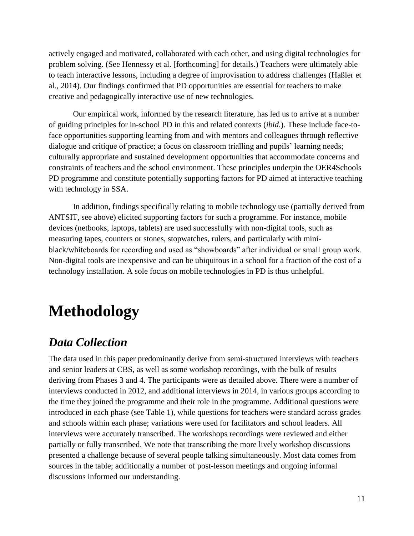actively engaged and motivated, collaborated with each other, and using digital technologies for problem solving. (See Hennessy et al. [forthcoming] for details.) Teachers were ultimately able to teach interactive lessons, including a degree of improvisation to address challenges (Haßler et al., 2014). Our findings confirmed that PD opportunities are essential for teachers to make creative and pedagogically interactive use of new technologies.

Our empirical work, informed by the research literature, has led us to arrive at a number of guiding principles for in-school PD in this and related contexts (*ibid.*). These include face-toface opportunities supporting learning from and with mentors and colleagues through reflective dialogue and critique of practice; a focus on classroom trialling and pupils' learning needs; culturally appropriate and sustained development opportunities that accommodate concerns and constraints of teachers and the school environment. These principles underpin the OER4Schools PD programme and constitute potentially supporting factors for PD aimed at interactive teaching with technology in SSA.

In addition, findings specifically relating to mobile technology use (partially derived from ANTSIT, see above) elicited supporting factors for such a programme. For instance, mobile devices (netbooks, laptops, tablets) are used successfully with non-digital tools, such as measuring tapes, counters or stones, stopwatches, rulers, and particularly with miniblack/whiteboards for recording and used as "showboards" after individual or small group work. Non-digital tools are inexpensive and can be ubiquitous in a school for a fraction of the cost of a technology installation. A sole focus on mobile technologies in PD is thus unhelpful.

# **Methodology**

## *Data Collection*

The data used in this paper predominantly derive from semi-structured interviews with teachers and senior leaders at CBS, as well as some workshop recordings, with the bulk of results deriving from Phases 3 and 4. The participants were as detailed above. There were a number of interviews conducted in 2012, and additional interviews in 2014, in various groups according to the time they joined the programme and their role in the programme. Additional questions were introduced in each phase (see Table 1), while questions for teachers were standard across grades and schools within each phase; variations were used for facilitators and school leaders. All interviews were accurately transcribed. The workshops recordings were reviewed and either partially or fully transcribed. We note that transcribing the more lively workshop discussions presented a challenge because of several people talking simultaneously. Most data comes from sources in the table; additionally a number of post-lesson meetings and ongoing informal discussions informed our understanding.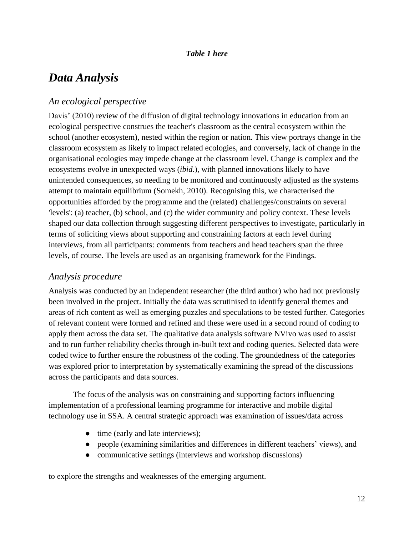#### *Table 1 here*

### *Data Analysis*

#### *An ecological perspective*

Davis' (2010) review of the diffusion of digital technology innovations in education from an ecological perspective construes the teacher's classroom as the central ecosystem within the school (another ecosystem), nested within the region or nation. This view portrays change in the classroom ecosystem as likely to impact related ecologies, and conversely, lack of change in the organisational ecologies may impede change at the classroom level. Change is complex and the ecosystems evolve in unexpected ways (*ibid.*), with planned innovations likely to have unintended consequences, so needing to be monitored and continuously adjusted as the systems attempt to maintain equilibrium (Somekh, 2010). Recognising this, we characterised the opportunities afforded by the programme and the (related) challenges/constraints on several 'levels': (a) teacher, (b) school, and (c) the wider community and policy context. These levels shaped our data collection through suggesting different perspectives to investigate, particularly in terms of soliciting views about supporting and constraining factors at each level during interviews, from all participants: comments from teachers and head teachers span the three levels, of course. The levels are used as an organising framework for the Findings.

#### *Analysis procedure*

Analysis was conducted by an independent researcher (the third author) who had not previously been involved in the project. Initially the data was scrutinised to identify general themes and areas of rich content as well as emerging puzzles and speculations to be tested further. Categories of relevant content were formed and refined and these were used in a second round of coding to apply them across the data set. The qualitative data analysis software NVivo was used to assist and to run further reliability checks through in-built text and coding queries. Selected data were coded twice to further ensure the robustness of the coding. The groundedness of the categories was explored prior to interpretation by systematically examining the spread of the discussions across the participants and data sources.

The focus of the analysis was on constraining and supporting factors influencing implementation of a professional learning programme for interactive and mobile digital technology use in SSA. A central strategic approach was examination of issues/data across

- time (early and late interviews);
- people (examining similarities and differences in different teachers' views), and
- communicative settings (interviews and workshop discussions)

to explore the strengths and weaknesses of the emerging argument.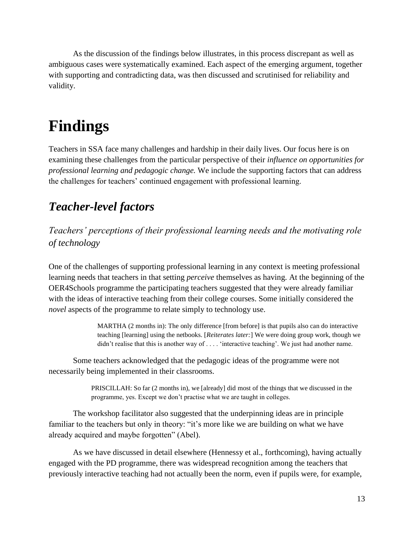As the discussion of the findings below illustrates, in this process discrepant as well as ambiguous cases were systematically examined. Each aspect of the emerging argument, together with supporting and contradicting data, was then discussed and scrutinised for reliability and validity.

# **Findings**

Teachers in SSA face many challenges and hardship in their daily lives. Our focus here is on examining these challenges from the particular perspective of their *influence on opportunities for professional learning and pedagogic change.* We include the supporting factors that can address the challenges for teachers' continued engagement with professional learning.

## *Teacher-level factors*

*Teachers' perceptions of their professional learning needs and the motivating role of technology* 

One of the challenges of supporting professional learning in any context is meeting professional learning needs that teachers in that setting *perceive* themselves as having. At the beginning of the OER4Schools programme the participating teachers suggested that they were already familiar with the ideas of interactive teaching from their college courses. Some initially considered the *novel* aspects of the programme to relate simply to technology use.

> MARTHA (2 months in): The only difference [from before] is that pupils also can do interactive teaching [learning] using the netbooks. [*Reiterates later:*] We were doing group work, though we didn't realise that this is another way of . . . . 'interactive teaching'. We just had another name.

Some teachers acknowledged that the pedagogic ideas of the programme were not necessarily being implemented in their classrooms.

> PRISCILLAH: So far (2 months in), we [already] did most of the things that we discussed in the programme, yes. Except we don't practise what we are taught in colleges.

The workshop facilitator also suggested that the underpinning ideas are in principle familiar to the teachers but only in theory: "it's more like we are building on what we have already acquired and maybe forgotten" (Abel).

As we have discussed in detail elsewhere (Hennessy et al., forthcoming), having actually engaged with the PD programme, there was widespread recognition among the teachers that previously interactive teaching had not actually been the norm, even if pupils were, for example,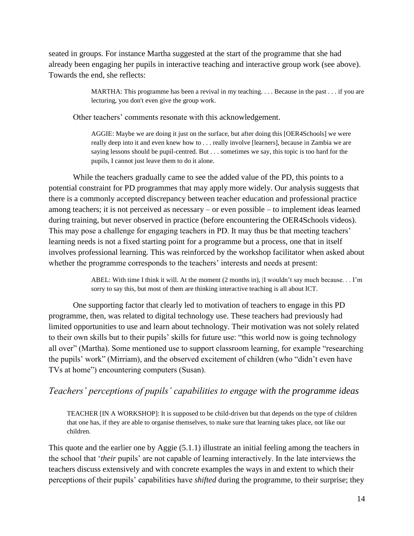seated in groups. For instance Martha suggested at the start of the programme that she had already been engaging her pupils in interactive teaching and interactive group work (see above). Towards the end, she reflects:

> MARTHA: This programme has been a revival in my teaching. . . . Because in the past . . . if you are lecturing, you don't even give the group work.

Other teachers' comments resonate with this acknowledgement.

AGGIE: Maybe we are doing it just on the surface, but after doing this [OER4Schools] we were really deep into it and even knew how to . . . really involve [learners], because in Zambia we are saying lessons should be pupil-centred. But . . . sometimes we say, this topic is too hard for the pupils, I cannot just leave them to do it alone.

While the teachers gradually came to see the added value of the PD, this points to a potential constraint for PD programmes that may apply more widely. Our analysis suggests that there is a commonly accepted discrepancy between teacher education and professional practice among teachers; it is not perceived as necessary – or even possible – to implement ideas learned during training, but never observed in practice (before encountering the OER4Schools videos). This may pose a challenge for engaging teachers in PD. It may thus be that meeting teachers' learning needs is not a fixed starting point for a programme but a process, one that in itself involves professional learning. This was reinforced by the workshop facilitator when asked about whether the programme corresponds to the teachers' interests and needs at present:

> ABEL: With time I think it will. At the moment (2 months in), |I wouldn't say much because. . . I'm sorry to say this, but most of them are thinking interactive teaching is all about ICT.

One supporting factor that clearly led to motivation of teachers to engage in this PD programme, then, was related to digital technology use. These teachers had previously had limited opportunities to use and learn about technology. Their motivation was not solely related to their own skills but to their pupils' skills for future use: "this world now is going technology all over" (Martha). Some mentioned use to support classroom learning, for example "researching the pupils' work" (Mirriam), and the observed excitement of children (who "didn't even have TVs at home") encountering computers (Susan).

#### *Teachers' perceptions of pupils' capabilities to engage with the programme ideas*

TEACHER [IN A WORKSHOP]: It is supposed to be child-driven but that depends on the type of children that one has, if they are able to organise themselves, to make sure that learning takes place, not like our children.

This quote and the earlier one by Aggie (5.1.1) illustrate an initial feeling among the teachers in the school that '*their* pupils' are not capable of learning interactively. In the late interviews the teachers discuss extensively and with concrete examples the ways in and extent to which their perceptions of their pupils' capabilities have *shifted* during the programme, to their surprise; they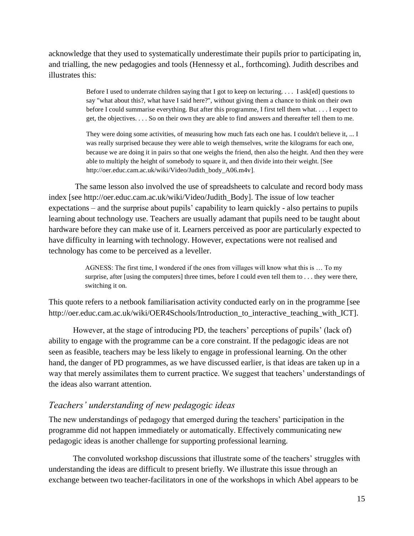acknowledge that they used to systematically underestimate their pupils prior to participating in, and trialling, the new pedagogies and tools (Hennessy et al., forthcoming). Judith describes and illustrates this:

> Before I used to underrate children saying that I got to keep on lecturing. . . . I ask[ed] questions to say "what about this?, what have I said here?", without giving them a chance to think on their own before I could summarise everything. But after this programme, I first tell them what. . . . I expect to get, the objectives. . . . So on their own they are able to find answers and thereafter tell them to me.

They were doing some activities, of measuring how much fats each one has. I couldn't believe it, ... I was really surprised because they were able to weigh themselves, write the kilograms for each one, because we are doing it in pairs so that one weighs the friend, then also the height. And then they were able to multiply the height of somebody to square it, and then divide into their weight. [See [http://oer.educ.cam.ac.uk/wiki/Video/Judith\\_body\\_A06.m4v\].](http://oer.educ.cam.ac.uk/wiki/Video/Judith_body_A06.m4v)

The same lesson also involved the use of spreadsheets to calculate and record body mass index [see http://oer.educ.cam.ac.uk/wiki/Video/Judith\_Body]. The issue of low teacher expectations – and the surprise about pupils' capability to learn quickly - also pertains to pupils learning about technology use. Teachers are usually adamant that pupils need to be taught about hardware before they can make use of it. Learners perceived as poor are particularly expected to have difficulty in learning with technology. However, expectations were not realised and technology has come to be perceived as a leveller.

> AGNESS: The first time, I wondered if the ones from villages will know what this is … To my surprise, after [using the computers] three times, before I could even tell them to . . . they were there, switching it on.

This quote refers to a netbook familiarisation activity conducted early on in the programme [see http://oer.educ.cam.ac.uk/wiki/OER4Schools/Introduction\_to\_interactive\_teaching\_with\_ICT].

However, at the stage of introducing PD, the teachers' perceptions of pupils' (lack of) ability to engage with the programme can be a core constraint. If the pedagogic ideas are not seen as feasible, teachers may be less likely to engage in professional learning. On the other hand, the danger of PD programmes, as we have discussed earlier, is that ideas are taken up in a way that merely assimilates them to current practice. We suggest that teachers' understandings of the ideas also warrant attention.

#### *Teachers' understanding of new pedagogic ideas*

The new understandings of pedagogy that emerged during the teachers' participation in the programme did not happen immediately or automatically. Effectively communicating new pedagogic ideas is another challenge for supporting professional learning.

The convoluted workshop discussions that illustrate some of the teachers' struggles with understanding the ideas are difficult to present briefly. We illustrate this issue through an exchange between two teacher-facilitators in one of the workshops in which Abel appears to be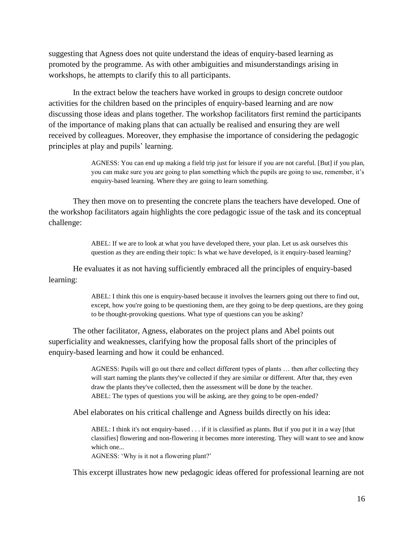suggesting that Agness does not quite understand the ideas of enquiry-based learning as promoted by the programme. As with other ambiguities and misunderstandings arising in workshops, he attempts to clarify this to all participants.

In the extract below the teachers have worked in groups to design concrete outdoor activities for the children based on the principles of enquiry-based learning and are now discussing those ideas and plans together. The workshop facilitators first remind the participants of the importance of making plans that can actually be realised and ensuring they are well received by colleagues. Moreover, they emphasise the importance of considering the pedagogic principles at play and pupils' learning.

> AGNESS: You can end up making a field trip just for leisure if you are not careful. [But] if you plan, you can make sure you are going to plan something which the pupils are going to use, remember, it's enquiry-based learning. Where they are going to learn something.

They then move on to presenting the concrete plans the teachers have developed. One of the workshop facilitators again highlights the core pedagogic issue of the task and its conceptual challenge:

> ABEL: If we are to look at what you have developed there, your plan. Let us ask ourselves this question as they are ending their topic: Is what we have developed, is it enquiry-based learning?

He evaluates it as not having sufficiently embraced all the principles of enquiry-based learning:

> ABEL: I think this one is enquiry-based because it involves the learners going out there to find out, except, how you're going to be questioning them, are they going to be deep questions, are they going to be thought-provoking questions. What type of questions can you be asking?

The other facilitator, Agness, elaborates on the project plans and Abel points out superficiality and weaknesses, clarifying how the proposal falls short of the principles of enquiry-based learning and how it could be enhanced.

> AGNESS: Pupils will go out there and collect different types of plants … then after collecting they will start naming the plants they've collected if they are similar or different. After that, they even draw the plants they've collected, then the assessment will be done by the teacher. ABEL: The types of questions you will be asking, are they going to be open-ended?

Abel elaborates on his critical challenge and Agness builds directly on his idea:

ABEL: I think it's not enquiry-based . . . if it is classified as plants. But if you put it in a way [that classifies] flowering and non-flowering it becomes more interesting. They will want to see and know which one...

AGNESS: 'Why is it not a flowering plant?'

This excerpt illustrates how new pedagogic ideas offered for professional learning are not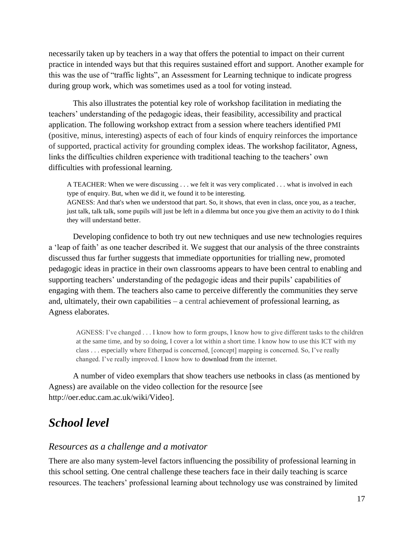necessarily taken up by teachers in a way that offers the potential to impact on their current practice in intended ways but that this requires sustained effort and support. Another example for this was the use of "traffic lights", an Assessment for Learning technique to indicate progress during group work, which was sometimes used as a tool for voting instead.

This also illustrates the potential key role of workshop facilitation in mediating the teachers' understanding of the pedagogic ideas, their feasibility, accessibility and practical application. The following workshop extract from a session where teachers identified PMI (positive, minus, interesting) aspects of each of four kinds of enquiry reinforces the importance of supported, practical activity for grounding complex ideas. The workshop facilitator, Agness, links the difficulties children experience with traditional teaching to the teachers' own difficulties with professional learning.

A TEACHER: When we were discussing . . . we felt it was very complicated . . . what is involved in each type of enquiry. But, when we did it, we found it to be interesting. AGNESS: And that's when we understood that part. So, it shows, that even in class, once you, as a teacher, just talk, talk talk, some pupils will just be left in a dilemma but once you give them an activity to do I think they will understand better.

Developing confidence to both try out new techniques and use new technologies requires a 'leap of faith' as one teacher described it. We suggest that our analysis of the three constraints discussed thus far further suggests that immediate opportunities for trialling new, promoted pedagogic ideas in practice in their own classrooms appears to have been central to enabling and supporting teachers' understanding of the pedagogic ideas and their pupils' capabilities of engaging with them. The teachers also came to perceive differently the communities they serve and, ultimately, their own capabilities – a central achievement of professional learning, as Agness elaborates.

AGNESS: I've changed . . . I know how to form groups, I know how to give different tasks to the children at the same time, and by so doing, I cover a lot within a short time. I know how to use this ICT with my class . . . especially where Etherpad is concerned, [concept] mapping is concerned. So, I've really changed. I've really improved. I know how to download from the internet.

A number of video exemplars that show teachers use netbooks in class (as mentioned by Agness) are available on the video collection for the resource [see http://oer.educ.cam.ac.uk/wiki/Video].

## *School level*

#### *Resources as a challenge and a motivator*

There are also many system-level factors influencing the possibility of professional learning in this school setting. One central challenge these teachers face in their daily teaching is scarce resources. The teachers' professional learning about technology use was constrained by limited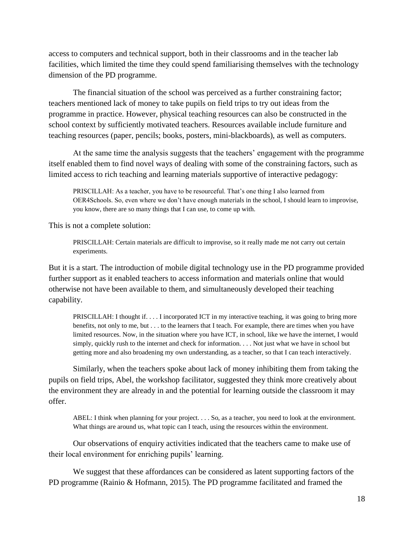access to computers and technical support, both in their classrooms and in the teacher lab facilities, which limited the time they could spend familiarising themselves with the technology dimension of the PD programme.

The financial situation of the school was perceived as a further constraining factor; teachers mentioned lack of money to take pupils on field trips to try out ideas from the programme in practice. However, physical teaching resources can also be constructed in the school context by sufficiently motivated teachers. Resources available include furniture and teaching resources (paper, pencils; books, posters, mini-blackboards), as well as computers.

At the same time the analysis suggests that the teachers' engagement with the programme itself enabled them to find novel ways of dealing with some of the constraining factors, such as limited access to rich teaching and learning materials supportive of interactive pedagogy:

PRISCILLAH: As a teacher, you have to be resourceful. That's one thing I also learned from OER4Schools. So, even where we don't have enough materials in the school, I should learn to improvise, you know, there are so many things that I can use, to come up with.

This is not a complete solution:

PRISCILLAH: Certain materials are difficult to improvise, so it really made me not carry out certain experiments.

But it is a start. The introduction of mobile digital technology use in the PD programme provided further support as it enabled teachers to access information and materials online that would otherwise not have been available to them, and simultaneously developed their teaching capability.

PRISCILLAH: I thought if. . . . I incorporated ICT in my interactive teaching, it was going to bring more benefits, not only to me, but . . . to the learners that I teach. For example, there are times when you have limited resources. Now, in the situation where you have ICT, in school, like we have the internet, I would simply, quickly rush to the internet and check for information. . . . Not just what we have in school but getting more and also broadening my own understanding, as a teacher, so that I can teach interactively.

Similarly, when the teachers spoke about lack of money inhibiting them from taking the pupils on field trips, Abel, the workshop facilitator, suggested they think more creatively about the environment they are already in and the potential for learning outside the classroom it may offer.

ABEL: I think when planning for your project. . . . So, as a teacher, you need to look at the environment. What things are around us, what topic can I teach, using the resources within the environment.

Our observations of enquiry activities indicated that the teachers came to make use of their local environment for enriching pupils' learning.

We suggest that these affordances can be considered as latent supporting factors of the PD programme (Rainio & Hofmann, 2015). The PD programme facilitated and framed the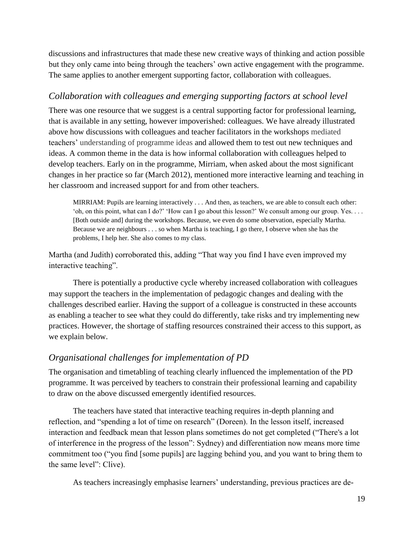discussions and infrastructures that made these new creative ways of thinking and action possible but they only came into being through the teachers' own active engagement with the programme. The same applies to another emergent supporting factor, collaboration with colleagues.

### *Collaboration with colleagues and emerging supporting factors at school level*

There was one resource that we suggest is a central supporting factor for professional learning, that is available in any setting, however impoverished: colleagues. We have already illustrated above how discussions with colleagues and teacher facilitators in the workshops mediated teachers' understanding of programme ideas and allowed them to test out new techniques and ideas. A common theme in the data is how informal collaboration with colleagues helped to develop teachers. Early on in the programme, Mirriam, when asked about the most significant changes in her practice so far (March 2012), mentioned more interactive learning and teaching in her classroom and increased support for and from other teachers.

MIRRIAM: Pupils are learning interactively . . . And then, as teachers, we are able to consult each other: 'oh, on this point, what can I do?' 'How can I go about this lesson?' We consult among our group. Yes. . . . [Both outside and] during the workshops. Because, we even do some observation, especially Martha. Because we are neighbours . . . so when Martha is teaching, I go there, I observe when she has the problems, I help her. She also comes to my class.

Martha (and Judith) corroborated this, adding "That way you find I have even improved my interactive teaching".

There is potentially a productive cycle whereby increased collaboration with colleagues may support the teachers in the implementation of pedagogic changes and dealing with the challenges described earlier. Having the support of a colleague is constructed in these accounts as enabling a teacher to see what they could do differently, take risks and try implementing new practices. However, the shortage of staffing resources constrained their access to this support, as we explain below.

### *Organisational challenges for implementation of PD*

The organisation and timetabling of teaching clearly influenced the implementation of the PD programme. It was perceived by teachers to constrain their professional learning and capability to draw on the above discussed emergently identified resources.

The teachers have stated that interactive teaching requires in-depth planning and reflection, and "spending a lot of time on research" (Doreen). In the lesson itself, increased interaction and feedback mean that lesson plans sometimes do not get completed ("There's a lot of interference in the progress of the lesson": Sydney) and differentiation now means more time commitment too ("you find [some pupils] are lagging behind you, and you want to bring them to the same level": Clive).

As teachers increasingly emphasise learners' understanding, previous practices are de-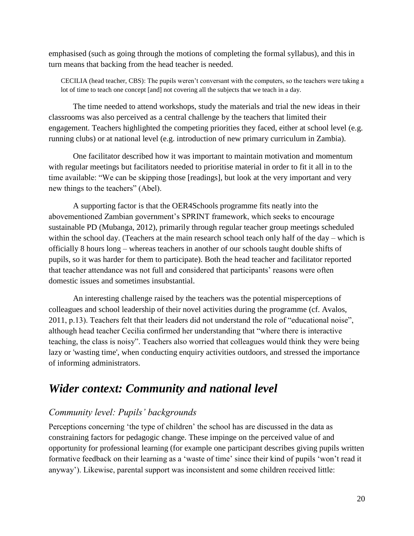emphasised (such as going through the motions of completing the formal syllabus), and this in turn means that backing from the head teacher is needed.

CECILIA (head teacher, CBS): The pupils weren't conversant with the computers, so the teachers were taking a lot of time to teach one concept [and] not covering all the subjects that we teach in a day.

The time needed to attend workshops, study the materials and trial the new ideas in their classrooms was also perceived as a central challenge by the teachers that limited their engagement. Teachers highlighted the competing priorities they faced, either at school level (e.g. running clubs) or at national level (e.g. introduction of new primary curriculum in Zambia).

One facilitator described how it was important to maintain motivation and momentum with regular meetings but facilitators needed to prioritise material in order to fit it all in to the time available: "We can be skipping those [readings], but look at the very important and very new things to the teachers" (Abel).

A supporting factor is that the OER4Schools programme fits neatly into the abovementioned Zambian government's SPRINT framework, which seeks to encourage sustainable PD (Mubanga, 2012), primarily through regular teacher group meetings scheduled within the school day. (Teachers at the main research school teach only half of the day – which is officially 8 hours long – whereas teachers in another of our schools taught double shifts of pupils, so it was harder for them to participate). Both the head teacher and facilitator reported that teacher attendance was not full and considered that participants' reasons were often domestic issues and sometimes insubstantial.

An interesting challenge raised by the teachers was the potential misperceptions of colleagues and school leadership of their novel activities during the programme (cf. Avalos, 2011, p.13). Teachers felt that their leaders did not understand the role of "educational noise", although head teacher Cecilia confirmed her understanding that "where there is interactive teaching, the class is noisy". Teachers also worried that colleagues would think they were being lazy or 'wasting time', when conducting enquiry activities outdoors, and stressed the importance of informing administrators.

## *Wider context: Community and national level*

### *Community level: Pupils' backgrounds*

Perceptions concerning 'the type of children' the school has are discussed in the data as constraining factors for pedagogic change. These impinge on the perceived value of and opportunity for professional learning (for example one participant describes giving pupils written formative feedback on their learning as a 'waste of time' since their kind of pupils 'won't read it anyway'). Likewise, parental support was inconsistent and some children received little: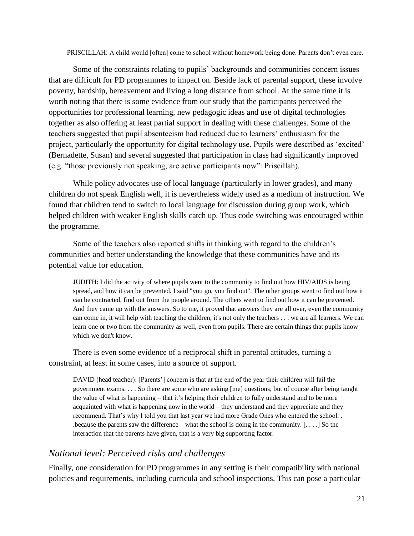PRISCILLAH: A child would [often] come to school without homework being done. Parents don't even care.

Some of the constraints relating to pupils' backgrounds and communities concern issues that are difficult for PD programmes to impact on. Beside lack of parental support, these involve poverty, hardship, bereavement and living a long distance from school. At the same time it is worth noting that there is some evidence from our study that the participants perceived the opportunities for professional learning, new pedagogic ideas and use of digital technologies together as also offering at least partial support in dealing with these challenges. Some of the teachers suggested that pupil absenteeism had reduced due to learners' enthusiasm for the project, particularly the opportunity for digital technology use. Pupils were described as 'excited' (Bernadette, Susan) and several suggested that participation in class had significantly improved (e.g. "those previously not speaking, are active participants now": Priscillah).

While policy advocates use of local language (particularly in lower grades), and many children do not speak English well, it is nevertheless widely used as a medium of instruction. We found that children tend to switch to local language for discussion during group work, which helped children with weaker English skills catch up. Thus code switching was encouraged within the programme.

Some of the teachers also reported shifts in thinking with regard to the children's communities and better understanding the knowledge that these communities have and its potential value for education.

JUDITH: I did the activity of where pupils went to the community to find out how HIV/AIDS is being spread, and how it can be prevented. I said "you go, you find out". The other groups went to find out how it can be contracted, find out from the people around. The others went to find out how it can be prevented. And they came up with the answers. So to me, it proved that answers they are all over, even the community can come in, it will help with teaching the children, it's not only the teachers . . . we are all learners. We can learn one or two from the community as well, even from pupils. There are certain things that pupils know which we don't know.

There is even some evidence of a reciprocal shift in parental attitudes, turning a constraint, at least in some cases, into a source of support.

DAVID (head teacher): [Parents'] concern is that at the end of the year their children will fail the government exams. . . . So there are some who are asking [me] questions; but of course after being taught the value of what is happening – that it's helping their children to fully understand and to be more acquainted with what is happening now in the world – they understand and they appreciate and they recommend. That's why I told you that last year we had more Grade Ones who entered the school. . .because the parents saw the difference – what the school is doing in the community. [. . . .] So the interaction that the parents have given, that is a very big supporting factor.

### *National level: Perceived risks and challenges*

Finally, one consideration for PD programmes in any setting is their compatibility with national policies and requirements, including curricula and school inspections. This can pose a particular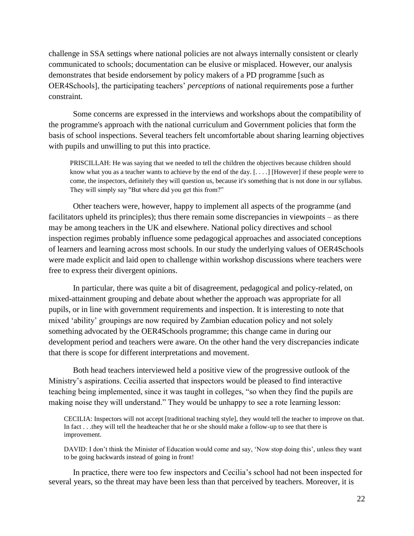challenge in SSA settings where national policies are not always internally consistent or clearly communicated to schools; documentation can be elusive or misplaced. However, our analysis demonstrates that beside endorsement by policy makers of a PD programme [such as OER4Schools], the participating teachers' *perceptions* of national requirements pose a further constraint.

Some concerns are expressed in the interviews and workshops about the compatibility of the programme's approach with the national curriculum and Government policies that form the basis of school inspections. Several teachers felt uncomfortable about sharing learning objectives with pupils and unwilling to put this into practice.

PRISCILLAH: He was saying that we needed to tell the children the objectives because children should know what you as a teacher wants to achieve by the end of the day. [. . . .] [However] if these people were to come, the inspectors, definitely they will question us, because it's something that is not done in our syllabus. They will simply say "But where did you get this from?"

Other teachers were, however, happy to implement all aspects of the programme (and facilitators upheld its principles); thus there remain some discrepancies in viewpoints – as there may be among teachers in the UK and elsewhere. National policy directives and school inspection regimes probably influence some pedagogical approaches and associated conceptions of learners and learning across most schools. In our study the underlying values of OER4Schools were made explicit and laid open to challenge within workshop discussions where teachers were free to express their divergent opinions.

In particular, there was quite a bit of disagreement, pedagogical and policy-related, on mixed-attainment grouping and debate about whether the approach was appropriate for all pupils, or in line with government requirements and inspection. It is interesting to note that mixed 'ability' groupings are now required by Zambian education policy and not solely something advocated by the OER4Schools programme; this change came in during our development period and teachers were aware. On the other hand the very discrepancies indicate that there is scope for different interpretations and movement.

Both head teachers interviewed held a positive view of the progressive outlook of the Ministry's aspirations. Cecilia asserted that inspectors would be pleased to find interactive teaching being implemented, since it was taught in colleges, "so when they find the pupils are making noise they will understand." They would be unhappy to see a rote learning lesson:

CECILIA: Inspectors will not accept [traditional teaching style], they would tell the teacher to improve on that. In fact . . .they will tell the headteacher that he or she should make a follow-up to see that there is improvement.

DAVID: I don't think the Minister of Education would come and say, 'Now stop doing this', unless they want to be going backwards instead of going in front!

In practice, there were too few inspectors and Cecilia's school had not been inspected for several years, so the threat may have been less than that perceived by teachers. Moreover, it is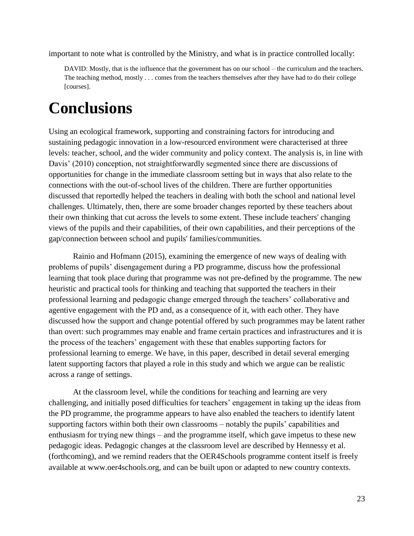important to note what is controlled by the Ministry, and what is in practice controlled locally:

DAVID: Mostly, that is the influence that the government has on our school – the curriculum and the teachers. The teaching method, mostly . . . comes from the teachers themselves after they have had to do their college [courses].

# **Conclusions**

Using an ecological framework, supporting and constraining factors for introducing and sustaining pedagogic innovation in a low-resourced environment were characterised at three levels: teacher, school, and the wider community and policy context. The analysis is, in line with Davis' (2010) conception, not straightforwardly segmented since there are discussions of opportunities for change in the immediate classroom setting but in ways that also relate to the connections with the out-of-school lives of the children. There are further opportunities discussed that reportedly helped the teachers in dealing with both the school and national level challenges. Ultimately, then, there are some broader changes reported by these teachers about their own thinking that cut across the levels to some extent. These include teachers' changing views of the pupils and their capabilities, of their own capabilities, and their perceptions of the gap/connection between school and pupils' families/communities.

Rainio and Hofmann (2015), examining the emergence of new ways of dealing with problems of pupils' disengagement during a PD programme, discuss how the professional learning that took place during that programme was not pre-defined by the programme. The new heuristic and practical tools for thinking and teaching that supported the teachers in their professional learning and pedagogic change emerged through the teachers' collaborative and agentive engagement with the PD and, as a consequence of it, with each other. They have discussed how the support and change potential offered by such programmes may be latent rather than overt: such programmes may enable and frame certain practices and infrastructures and it is the process of the teachers' engagement with these that enables supporting factors for professional learning to emerge. We have, in this paper, described in detail several emerging latent supporting factors that played a role in this study and which we argue can be realistic across a range of settings.

At the classroom level, while the conditions for teaching and learning are very challenging, and initially posed difficulties for teachers' engagement in taking up the ideas from the PD programme, the programme appears to have also enabled the teachers to identify latent supporting factors within both their own classrooms – notably the pupils' capabilities and enthusiasm for trying new things – and the programme itself, which gave impetus to these new pedagogic ideas. Pedagogic changes at the classroom level are described by Hennessy et al. (forthcoming), and we remind readers that the OER4Schools programme content itself is freely available at www.oer4schools.org, and can be built upon or adapted to new country contexts.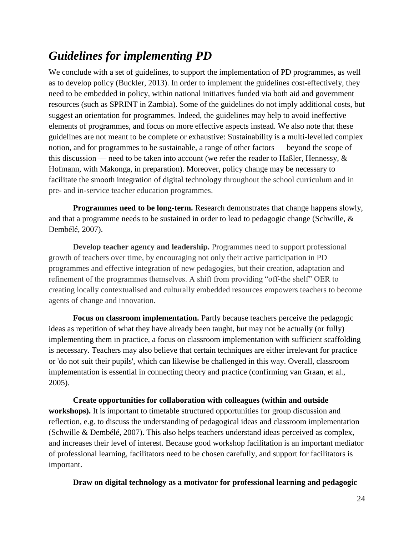## *Guidelines for implementing PD*

We conclude with a set of guidelines, to support the implementation of PD programmes, as well as to develop policy (Buckler, 2013). In order to implement the guidelines cost-effectively, they need to be embedded in policy, within national initiatives funded via both aid and government resources (such as SPRINT in Zambia). Some of the guidelines do not imply additional costs, but suggest an orientation for programmes. Indeed, the guidelines may help to avoid ineffective elements of programmes, and focus on more effective aspects instead. We also note that these guidelines are not meant to be complete or exhaustive: Sustainability is a multi-levelled complex notion, and for programmes to be sustainable, a range of other factors — beyond the scope of this discussion — need to be taken into account (we refer the reader to Haßler, Hennessy, & Hofmann, with Makonga, in preparation). Moreover, policy change may be necessary to facilitate the smooth integration of digital technology throughout the school curriculum and in pre- and in-service teacher education programmes.

**Programmes need to be long-term.** Research demonstrates that change happens slowly, and that a programme needs to be sustained in order to lead to pedagogic change (Schwille, & Dembélé, 2007).

**Develop teacher agency and leadership.** Programmes need to support professional growth of teachers over time, by encouraging not only their active participation in PD programmes and effective integration of new pedagogies, but their creation, adaptation and refinement of the programmes themselves. A shift from providing "off-the shelf" OER to creating locally contextualised and culturally embedded resources empowers teachers to become agents of change and innovation.

**Focus on classroom implementation.** Partly because teachers perceive the pedagogic ideas as repetition of what they have already been taught, but may not be actually (or fully) implementing them in practice, a focus on classroom implementation with sufficient scaffolding is necessary. Teachers may also believe that certain techniques are either irrelevant for practice or 'do not suit their pupils', which can likewise be challenged in this way. Overall, classroom implementation is essential in connecting theory and practice (confirming van Graan, et al., 2005).

**Create opportunities for collaboration with colleagues (within and outside workshops).** It is important to timetable structured opportunities for group discussion and reflection, e.g. to discuss the understanding of pedagogical ideas and classroom implementation (Schwille & Dembélé, 2007). This also helps teachers understand ideas perceived as complex, and increases their level of interest. Because good workshop facilitation is an important mediator of professional learning, facilitators need to be chosen carefully, and support for facilitators is important.

**Draw on digital technology as a motivator for professional learning and pedagogic**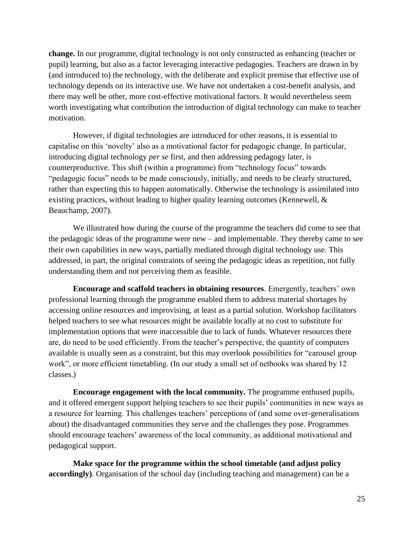**change.** In our programme, digital technology is not only constructed as enhancing (teacher or pupil) learning, but also as a factor leveraging interactive pedagogies. Teachers are drawn in by (and introduced to) the technology, with the deliberate and explicit premise that effective use of technology depends on its interactive use. We have not undertaken a cost-benefit analysis, and there may well be other, more cost-effective motivational factors. It would nevertheless seem worth investigating what contribution the introduction of digital technology can make to teacher motivation.

However, if digital technologies are introduced for other reasons, it is essential to capitalise on this 'novelty' also as a motivational factor for pedagogic change. In particular, introducing digital technology *per se* first, and then addressing pedagogy later, is counterproductive. This shift (within a programme) from "technology focus" towards "pedagogic focus" needs to be made consciously, initially, and needs to be clearly structured, rather than expecting this to happen automatically. Otherwise the technology is assimilated into existing practices, without leading to higher quality learning outcomes (Kennewell, & Beauchamp, 2007).

We illustrated how during the course of the programme the teachers did come to see that the pedagogic ideas of the programme were new – and implementable. They thereby came to see their own capabilities in new ways, partially mediated through digital technology use. This addressed, in part, the original constraints of seeing the pedagogic ideas as repetition, not fully understanding them and not perceiving them as feasible.

**Encourage and scaffold teachers in obtaining resources**. Emergently, teachers' own professional learning through the programme enabled them to address material shortages by accessing online resources and improvising, at least as a partial solution. Workshop facilitators helped teachers to see what resources might be available locally at no cost to substitute for implementation options that were inaccessible due to lack of funds. Whatever resources there are, do need to be used efficiently. From the teacher's perspective, the quantity of computers available is usually seen as a constraint, but this may overlook possibilities for "carousel group work", or more efficient timetabling. (In our study a small set of netbooks was shared by 12 classes.)

**Encourage engagement with the local community.** The programme enthused pupils, and it offered emergent support helping teachers to see their pupils' communities in new ways as a resource for learning. This challenges teachers' perceptions of (and some over-generalisations about) the disadvantaged communities they serve and the challenges they pose. Programmes should encourage teachers' awareness of the local community, as additional motivational and pedagogical support.

**Make space for the programme within the school timetable (and adjust policy accordingly)**. Organisation of the school day (including teaching and management) can be a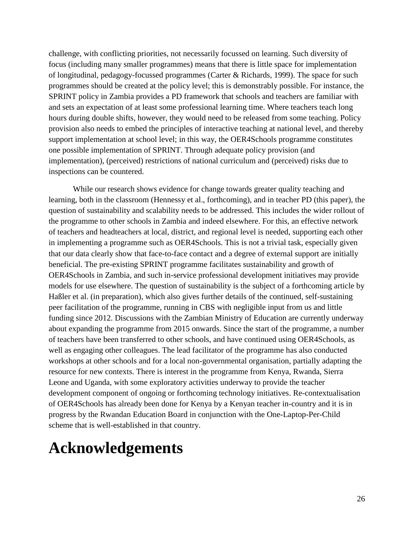challenge, with conflicting priorities, not necessarily focussed on learning. Such diversity of focus (including many smaller programmes) means that there is little space for implementation of longitudinal, pedagogy-focussed programmes (Carter & Richards, 1999). The space for such programmes should be created at the policy level; this is demonstrably possible. For instance, the SPRINT policy in Zambia provides a PD framework that schools and teachers are familiar with and sets an expectation of at least some professional learning time. Where teachers teach long hours during double shifts, however, they would need to be released from some teaching. Policy provision also needs to embed the principles of interactive teaching at national level, and thereby support implementation at school level; in this way, the OER4Schools programme constitutes one possible implementation of SPRINT. Through adequate policy provision (and implementation), (perceived) restrictions of national curriculum and (perceived) risks due to inspections can be countered.

While our research shows evidence for change towards greater quality teaching and learning, both in the classroom (Hennessy et al., forthcoming), and in teacher PD (this paper), the question of sustainability and scalability needs to be addressed. This includes the wider rollout of the programme to other schools in Zambia and indeed elsewhere. For this, an effective network of teachers and headteachers at local, district, and regional level is needed, supporting each other in implementing a programme such as OER4Schools. This is not a trivial task, especially given that our data clearly show that face-to-face contact and a degree of external support are initially beneficial. The pre-existing SPRINT programme facilitates sustainability and growth of OER4Schools in Zambia, and such in-service professional development initiatives may provide models for use elsewhere. The question of sustainability is the subject of a forthcoming article by Haßler et al. (in preparation), which also gives further details of the continued, self-sustaining peer facilitation of the programme, running in CBS with negligible input from us and little funding since 2012. Discussions with the Zambian Ministry of Education are currently underway about expanding the programme from 2015 onwards. Since the start of the programme, a number of teachers have been transferred to other schools, and have continued using OER4Schools, as well as engaging other colleagues. The lead facilitator of the programme has also conducted workshops at other schools and for a local non-governmental organisation, partially adapting the resource for new contexts. There is interest in the programme from Kenya, Rwanda, Sierra Leone and Uganda, with some exploratory activities underway to provide the teacher development component of ongoing or forthcoming technology initiatives. Re-contextualisation of OER4Schools has already been done for Kenya by a Kenyan teacher in-country and it is in progress by the Rwandan Education Board in conjunction with the One-Laptop-Per-Child scheme that is well-established in that country.

# **Acknowledgements**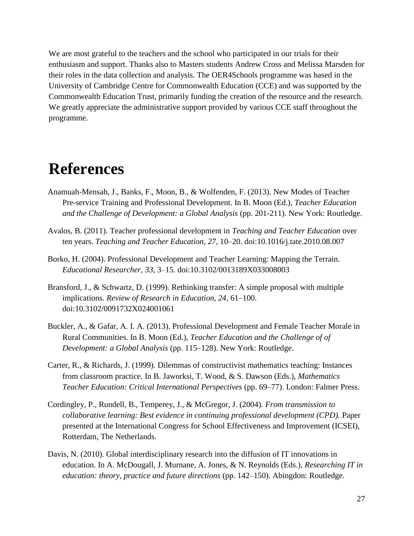We are most grateful to the teachers and the school who participated in our trials for their enthusiasm and support. Thanks also to Masters students Andrew Cross and Melissa Marsden for their roles in the data collection and analysis. The OER4Schools programme was based in the University of Cambridge Centre for Commonwealth Education (CCE) and was supported by the Commonwealth Education Trust, primarily funding the creation of the resource and the research. We greatly appreciate the administrative support provided by various CCE staff throughout the programme.

## **References**

- Anamuah-Mensah, J., Banks, F., Moon, B., & Wolfenden, F. (2013). New Modes of Teacher Pre-service Training and Professional Development. In B. Moon (Ed.), *Teacher Education and the Challenge of Development: a Global Analysis* (pp. 201-211). New York: Routledge.
- Avalos, B. (2011). Teacher professional development in *Teaching and Teacher Education* over ten years. *Teaching and Teacher Education*, *27*, 10–20. doi:10.1016/j.tate.2010.08.007
- Borko, H. (2004). Professional Development and Teacher Learning: Mapping the Terrain. *Educational Researcher*, *33*, 3–15. doi:10.3102/0013189X033008003
- Bransford, J., & Schwartz, D. (1999). Rethinking transfer: A simple proposal with multiple implications. *Review of Research in Education, 24,* 61–100. doi:10.3102/0091732X024001061
- Buckler, A., & Gafar, A. I. A. (2013). Professional Development and Female Teacher Morale in Rural Communities. In B. Moon (Ed.), *Teacher Education and the Challenge of of Development: a Global Analysis* (pp. 115–128). New York: Routledge.
- Carter, R., & Richards, J. (1999). Dilemmas of constructivist mathematics teaching: Instances from classroom practice. In B. Jaworksi, T. Wood, & S. Dawson (Eds.), *Mathematics Teacher Education: Critical International Perspectives* (pp. 69–77). London: Falmer Press.
- Cordingley, P., Rundell, B., Temperey, J., & McGregor, J. (2004)*. From transmission to collaborative learning: Best evidence in continuing professional development (CPD).* Paper presented at the International Congress for School Effectiveness and Improvement (ICSEI), Rotterdam, The Netherlands.
- Davis, N. (2010). Global interdisciplinary research into the diffusion of IT innovations in education. In A. McDougall, J. Murnane, A. Jones, & N. Reynolds (Eds.), *Researching IT in education: theory, practice and future directions* (pp. 142–150). Abingdon: Routledge.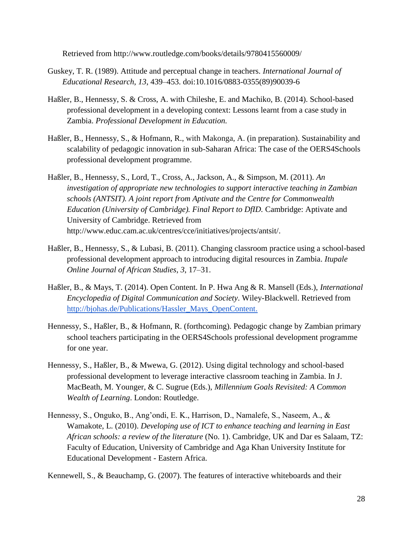Retrieved from http://www.routledge.com/books/details/9780415560009/

- Guskey, T. R. (1989). Attitude and perceptual change in teachers. *International Journal of Educational Research*, *13*, 439–453. doi:10.1016/0883-0355(89)90039-6
- Haßler, B., Hennessy, S. & Cross, A. with Chileshe, E. and Machiko, B. (2014). School-based professional development in a developing context: Lessons learnt from a case study in Zambia. *Professional Development in Education.*
- Haßler, B., Hennessy, S., & Hofmann, R., with Makonga, A. (in preparation). Sustainability and scalability of pedagogic innovation in sub-Saharan Africa: The case of the OERS4Schools professional development programme.
- Haßler, B., Hennessy, S., Lord, T., Cross, A., Jackson, A., & Simpson, M. (2011). *An investigation of appropriate new technologies to support interactive teaching in Zambian schools (ANTSIT). A joint report from Aptivate and the Centre for Commonwealth Education (University of Cambridge). Final Report to DfID.* Cambridge: Aptivate and University of Cambridge. Retrieved from http://www.educ.cam.ac.uk/centres/cce/initiatives/projects/antsit/.
- Haßler, B., Hennessy, S., & Lubasi, B. (2011). Changing classroom practice using a school-based professional development approach to introducing digital resources in Zambia. *Itupale Online Journal of African Studies*, *3*, 17–31.
- Haßler, B., & Mays, T. (2014). Open Content. In P. Hwa Ang & R. Mansell (Eds.), *International Encyclopedia of Digital Communication and Society*. Wiley-Blackwell. Retrieved from [http://bjohas.de/Publications/Hassler\\_Mays\\_OpenContent.](http://bjohas.de/Publications/Hassler_Mays_OpenContent)
- Hennessy, S., Haßler, B., & Hofmann, R. (forthcoming). Pedagogic change by Zambian primary school teachers participating in the OERS4Schools professional development programme for one year.
- Hennessy, S., Haßler, B., & Mwewa, G. (2012). Using digital technology and school-based professional development to leverage interactive classroom teaching in Zambia. In J. MacBeath, M. Younger, & C. Sugrue (Eds.), *Millennium Goals Revisited: A Common Wealth of Learning*. London: Routledge.
- Hennessy, S., Onguko, B., Ang'ondi, E. K., Harrison, D., Namalefe, S., Naseem, A., & Wamakote, L. (2010). *Developing use of ICT to enhance teaching and learning in East African schools: a review of the literature* (No. 1). Cambridge, UK and Dar es Salaam, TZ: Faculty of Education, University of Cambridge and Aga Khan University Institute for Educational Development - Eastern Africa.

Kennewell, S., & Beauchamp, G. (2007). The features of interactive whiteboards and their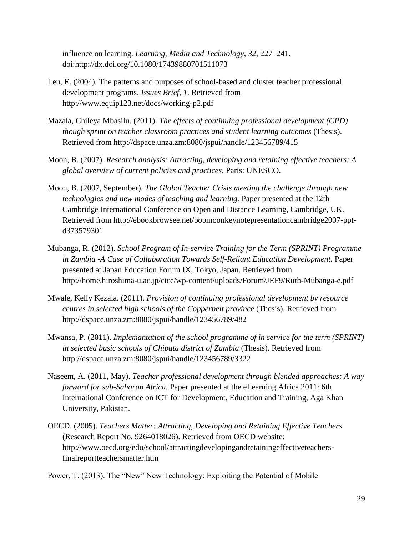influence on learning. *Learning, Media and Technology*, *32*, 227–241. doi:http://dx.doi.org/10.1080/17439880701511073

- Leu, E. (2004). The patterns and purposes of school-based and cluster teacher professional development programs. *Issues Brief*, *1*. Retrieved from http://www.equip123.net/docs/working-p2.pdf
- Mazala, Chileya Mbasilu. (2011). *The effects of continuing professional development (CPD) though sprint on teacher classroom practices and student learning outcomes* (Thesis). Retrieved from http://dspace.unza.zm:8080/jspui/handle/123456789/415
- Moon, B. (2007). *Research analysis: Attracting, developing and retaining effective teachers: A global overview of current policies and practices*. Paris: UNESCO.
- Moon, B. (2007, September). *The Global Teacher Crisis meeting the challenge through new technologies and new modes of teaching and learning.* Paper presented at the 12th Cambridge International Conference on Open and Distance Learning, Cambridge, UK. Retrieved from http://ebookbrowsee.net/bobmoonkeynotepresentationcambridge2007-pptd373579301
- Mubanga, R. (2012). *School Program of In-service Training for the Term (SPRINT) Programme in Zambia -A Case of Collaboration Towards Self-Reliant Education Development.* Paper presented at Japan Education Forum IX, Tokyo, Japan. Retrieved from http://home.hiroshima-u.ac.jp/cice/wp-content/uploads/Forum/JEF9/Ruth-Mubanga-e.pdf
- Mwale, Kelly Kezala. (2011). *Provision of continuing professional development by resource centres in selected high schools of the Copperbelt province* (Thesis). Retrieved from http://dspace.unza.zm:8080/jspui/handle/123456789/482
- Mwansa, P. (2011). *Implemantation of the school programme of in service for the term (SPRINT) in selected basic schools of Chipata district of Zambia* (Thesis). Retrieved from http://dspace.unza.zm:8080/jspui/handle/123456789/3322
- Naseem, A. (2011, May). *Teacher professional development through blended approaches: A way forward for sub-Saharan Africa.* Paper presented at the eLearning Africa 2011: 6th International Conference on ICT for Development, Education and Training, Aga Khan University, Pakistan.
- OECD. (2005). *Teachers Matter: Attracting, Developing and Retaining Effective Teachers* (Research Report No. 9264018026). Retrieved from OECD website: http://www.oecd.org/edu/school/attractingdevelopingandretainingeffectiveteachersfinalreportteachersmatter.htm

Power, T. (2013). The "New" New Technology: Exploiting the Potential of Mobile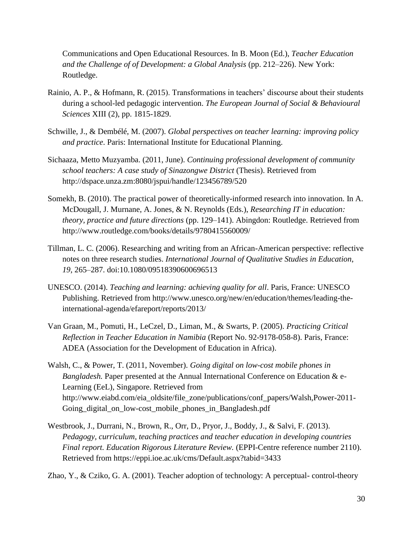Communications and Open Educational Resources. In B. Moon (Ed.), *Teacher Education and the Challenge of of Development: a Global Analysis* (pp. 212–226). New York: Routledge.

- Rainio, A. P., & Hofmann, R. (2015). Transformations in teachers' discourse about their students during a school-led pedagogic intervention. *The European Journal of Social & Behavioural Sciences* XIII (2), pp. 1815-1829.
- Schwille, J., & Dembélé, M. (2007). *Global perspectives on teacher learning: improving policy and practice*. Paris: International Institute for Educational Planning.
- Sichaaza, Metto Muzyamba. (2011, June). *Continuing professional development of community school teachers: A case study of Sinazongwe District* (Thesis). Retrieved from http://dspace.unza.zm:8080/jspui/handle/123456789/520
- Somekh, B. (2010). The practical power of theoretically-informed research into innovation. In A. McDougall, J. Murnane, A. Jones, & N. Reynolds (Eds.), *Researching IT in education: theory, practice and future directions* (pp. 129–141). Abingdon: Routledge. Retrieved from http://www.routledge.com/books/details/9780415560009/
- Tillman, L. C. (2006). Researching and writing from an African-American perspective: reflective notes on three research studies. *International Journal of Qualitative Studies in Education*, *19*, 265–287. doi:10.1080/09518390600696513
- UNESCO. (2014). *Teaching and learning: achieving quality for all*. Paris, France: UNESCO Publishing. Retrieved from http://www.unesco.org/new/en/education/themes/leading-theinternational-agenda/efareport/reports/2013/
- Van Graan, M., Pomuti, H., LeCzel, D., Liman, M., & Swarts, P. (2005). *Practicing Critical Reflection in Teacher Education in Namibia* (Report No. 92-9178-058-8). Paris, France: ADEA (Association for the Development of Education in Africa).
- Walsh, C., & Power, T. (2011, November). *Going digital on low-cost mobile phones in Bangladesh.* Paper presented at the Annual International Conference on Education & e-Learning (EeL), Singapore. Retrieved from http://www.eiabd.com/eia\_oldsite/file\_zone/publications/conf\_papers/Walsh,Power-2011- Going\_digital\_on\_low-cost\_mobile\_phones\_in\_Bangladesh.pdf
- Westbrook, J., Durrani, N., Brown, R., Orr, D., Pryor, J., Boddy, J., & Salvi, F. (2013). *Pedagogy, curriculum, teaching practices and teacher education in developing countries Final report. Education Rigorous Literature Review.* (EPPI-Centre reference number 2110). Retrieved from https://eppi.ioe.ac.uk/cms/Default.aspx?tabid=3433

Zhao, Y., & Cziko, G. A. (2001). Teacher adoption of technology: A perceptual- control-theory